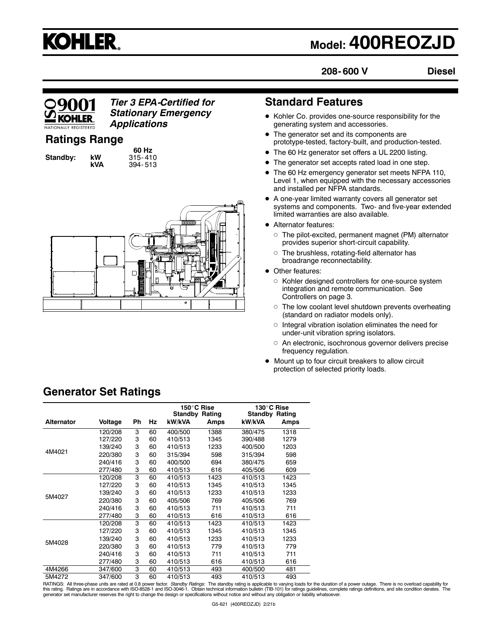

## **Model: 400REOZJD**

**208- 600 V**

**Diesel**

# KOHI FR

*Tier 3 EPA-Certified for Stationary Emergency Applications*

## **Ratings Range**

**Standby: kW<br>kVA** 

**60 Hz kVA** 394- 513



## **Standard Features**

- $\bullet$  Kohler Co. provides one-source responsibility for the generating system and accessories.
- The generator set and its components are prototype-tested, factory-built, and production-tested.
- The 60 Hz generator set offers a UL 2200 listing.
- The generator set accepts rated load in one step.
- The 60 Hz emergency generator set meets NFPA 110, Level 1, when equipped with the necessary accessories and installed per NFPA standards.
- $\bullet$  A one-year limited warranty covers all generator set systems and components. Two- and five-year extended limited warranties are also available.
- Alternator features:
	- $\circ$  The pilot-excited, permanent magnet (PM) alternator provides superior short-circuit capability.
	- $\circ$  The brushless, rotating-field alternator has broadrange reconnectability.
- Other features:
	- $\circ$  Kohler designed controllers for one-source system integration and remote communication. See Controllers on page 3.
	- $\circ$  The low coolant level shutdown prevents overheating (standard on radiator models only).
	- $\circ$  Integral vibration isolation eliminates the need for under-unit vibration spring isolators.
	- $\circ$  An electronic, isochronous governor delivers precise frequency regulation.
- $\bullet$  Mount up to four circuit breakers to allow circuit protection of selected priority loads.

|                   |         |    |    |         | 150°C Rise            | 130°C Rise            |      |
|-------------------|---------|----|----|---------|-----------------------|-----------------------|------|
|                   |         |    |    |         | <b>Standby Rating</b> | <b>Standby Rating</b> |      |
| <b>Alternator</b> | Voltage | Ph | Hz | kW/kVA  | Amps                  | kW/kVA                | Amps |
| 4M4021            | 120/208 | 3  | 60 | 400/500 | 1388                  | 380/475               | 1318 |
|                   | 127/220 | 3  | 60 | 410/513 | 1345                  | 390/488               | 1279 |
|                   | 139/240 | 3  | 60 | 410/513 | 1233                  | 400/500               | 1203 |
|                   | 220/380 | 3  | 60 | 315/394 | 598                   | 315/394               | 598  |
|                   | 240/416 | 3  | 60 | 400/500 | 694                   | 380/475               | 659  |
|                   | 277/480 | 3  | 60 | 410/513 | 616                   | 405/506               | 609  |
|                   | 120/208 | 3  | 60 | 410/513 | 1423                  | 410/513               | 1423 |
|                   | 127/220 | 3  | 60 | 410/513 | 1345                  | 410/513               | 1345 |
|                   | 139/240 | 3  | 60 | 410/513 | 1233                  | 410/513               | 1233 |
| 5M4027            | 220/380 | 3  | 60 | 405/506 | 769                   | 405/506               | 769  |
|                   | 240/416 | 3  | 60 | 410/513 | 711                   | 410/513               | 711  |
|                   | 277/480 | 3  | 60 | 410/513 | 616                   | 410/513               | 616  |
|                   | 120/208 | 3  | 60 | 410/513 | 1423                  | 410/513               | 1423 |
|                   | 127/220 | 3  | 60 | 410/513 | 1345                  | 410/513               | 1345 |
| 5M4028            | 139/240 | 3  | 60 | 410/513 | 1233                  | 410/513               | 1233 |
|                   | 220/380 | 3  | 60 | 410/513 | 779                   | 410/513               | 779  |
|                   | 240/416 | 3  | 60 | 410/513 | 711                   | 410/513               | 711  |
|                   | 277/480 | 3  | 60 | 410/513 | 616                   | 410/513               | 616  |
| 4M4266            | 347/600 | 3  | 60 | 410/513 | 493                   | 400/500               | 481  |
| 5M4272            | 347/600 | 3  | 60 | 410/513 | 493                   | 410/513               | 493  |

**Generator Set Ratings**

RATINGS: All three-phase units are rated at 0.8 power factor. *Standby Ratings:* The standby rating is applicable to varying loads for the duration of a power outage. There is no overload capability for<br>this rating. Rating generator set manufacturer reserves the right to change the design or specifications without notice and without any obligation or liability whatsoever.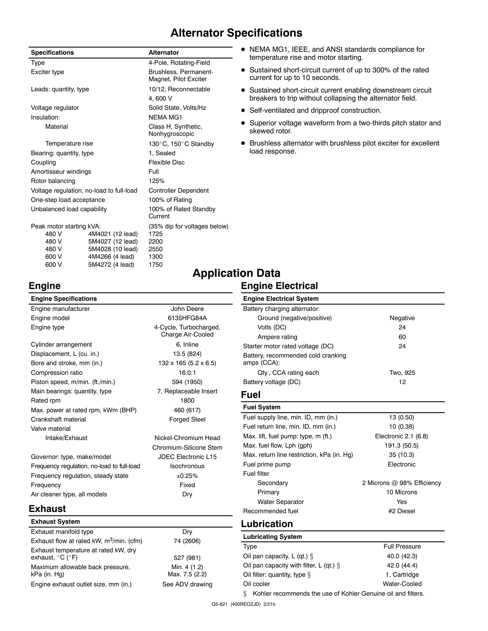## **Alternator Specifications**

| <b>Specifications</b>      |                                          | <b>Alternator</b>                              |  |
|----------------------------|------------------------------------------|------------------------------------------------|--|
| Type                       |                                          | 4-Pole, Rotating-Field                         |  |
| Exciter type               |                                          | Brushless, Permanent-<br>Magnet, Pilot Exciter |  |
| Leads: quantity, type      |                                          | 10/12, Reconnectable                           |  |
|                            |                                          | 4.600 V                                        |  |
| Voltage regulator          |                                          | Solid State, Volts/Hz                          |  |
| Insulation:                |                                          | <b>NFMA MG1</b>                                |  |
| Material                   |                                          | Class H, Synthetic,<br>Nonhygroscopic          |  |
| Temperature rise           |                                          | 130°C, 150°C Standby                           |  |
| Bearing: quantity, type    |                                          | 1, Sealed                                      |  |
| Coupling                   |                                          | Flexible Disc                                  |  |
| Amortisseur windings       |                                          | Full                                           |  |
| Rotor balancing            |                                          | 125%                                           |  |
|                            | Voltage regulation, no-load to full-load | <b>Controller Dependent</b>                    |  |
| One-step load acceptance   |                                          | 100% of Rating                                 |  |
| Unbalanced load capability |                                          | 100% of Rated Standby<br>Current               |  |
| Peak motor starting kVA:   |                                          | (35% dip for voltages below)                   |  |
| 480 V                      | 4M4021 (12 lead)                         | 1725                                           |  |
| 480 V                      | 5M4027 (12 lead)                         | 2200                                           |  |
| 480 V                      | 5M4028 (10 lead)                         | 2550                                           |  |
| 600 V                      | 4M4266 (4 lead)                          | 1300                                           |  |
| 600 V                      | 5M4272 (4 lead)                          | 1750                                           |  |

**Engine**

kPa (in. Hg)

- NEMA MG1, IEEE, and ANSI standards compliance for temperature rise and motor starting.
- Sustained short-circuit current of up to 300% of the rated current for up to 10 seconds.
- Sustained short-circuit current enabling downstream circuit breakers to trip without collapsing the alternator field.
- Self-ventilated and dripproof construction.
- Superior voltage waveform from a two-thirds pitch stator and skewed rotor.
- $\bullet$  Brushless alternator with brushless pilot exciter for excellent load response.

#### **Engine Specifications** Engine manufacturer and a series of the John Deere Engine model 6135HFG84A Engine type **6.2 Community** 4-Cycle, Turbocharged, Charge Air-Cooled Cylinder arrangement 6, Inline Displacement, L (cu. in.) 13.5 (824) Bore and stroke, mm (in.) 132 x 165 (5.2 x 6.5) Compression ratio 16.0:1 Piston speed, m/min. (ft./min.) 594 (1950) Main bearings: quantity, type 7, Replaceable Insert Rated rpm 1800 Max. power at rated rpm, kWm (BHP) 460 (617) Crankshaft material **Forged Steel** Valve material Intake/Exhaust Nickel-Chromium Head Chromium-Silicone Stem Governor: type, make/model JDEC Electronic L15 Frequency regulation, no-load to full-load Isochronous Frequency regulation, steady state  $\pm 0.25\%$ Frequency **Fixed** Air cleaner type, all models Dry **Exhaust Exhaust System** Exhaust manifold type Dry Exhaust flow at rated kW,  $m^3/m$ in. (cfm)  $74$  (2606) Exhaust temperature at rated kW, dry exhaust,  $^{\circ}C$  ( $^{\circ}F$ ) 527 (981) Maximum allowable back pressure, Min. 4 (1.2) **Engine Electrical System** Battery charging alternator: amps (CCA): **Fuel Fuel System** Fuel filter **Lubrication Lubricating System**

Max. 7.5 (2.2)

Engine exhaust outlet size, mm (in.) See ADV drawing

# **Application Data**

#### **Engine Electrical**

| <b>Engine Electrical System</b>                   |          |
|---------------------------------------------------|----------|
| Battery charging alternator:                      |          |
| Ground (negative/positive)                        | Negative |
| Volts (DC)                                        | 24       |
| Ampere rating                                     | 60       |
| Starter motor rated voltage (DC)                  | 24       |
| Battery, recommended cold cranking<br>amps (CCA): |          |
| Qty., CCA rating each                             | Two. 925 |
| Battery voltage (DC)                              | 12       |
| Fuel                                              |          |
| <b>Fuel System</b>                                |          |

| ו שטו טעשווי                               |                            |
|--------------------------------------------|----------------------------|
| Fuel supply line, min. ID, mm (in.)        | 13 (0.50)                  |
| Fuel return line, min. ID, mm (in.)        | 10 (0.38)                  |
| Max. lift, fuel pump: type, m (ft.)        | Electronic 2.1 (6.8)       |
| Max. fuel flow, Lph (gph)                  | 191.3 (50.5)               |
| Max. return line restriction, kPa (in. Hg) | 35(10.3)                   |
| Fuel prime pump                            | Flectronic                 |
| Fuel filter                                |                            |
| Secondary                                  | 2 Microns @ 98% Efficiency |
| Primary                                    | 10 Microns                 |
| <b>Water Separator</b>                     | Yes                        |
| Recommended fuel                           | #2 Diesel                  |
|                                            |                            |

| <b>Lubricating System</b>                                         |                      |  |
|-------------------------------------------------------------------|----------------------|--|
| Type                                                              | <b>Full Pressure</b> |  |
| Oil pan capacity, L (qt.) $\S$                                    | 40.0 (42.3)          |  |
| Oil pan capacity with filter, L (qt.) $\S$                        | 42.0 (44.4)          |  |
| Oil filter: quantity, type $\S$                                   | 1, Cartridge         |  |
| Oil cooler                                                        | Water-Cooled         |  |
| ş<br>Kohler recommends the use of Kohler Genuine oil and filters. |                      |  |

G5-621 (400REOZJD) 2/21b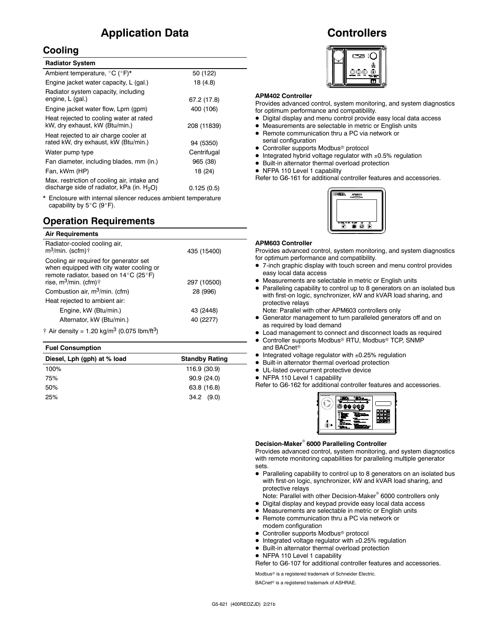## **Application Data**

### **Cooling**

| <b>Radiator System</b>                                                                       |             |
|----------------------------------------------------------------------------------------------|-------------|
| Ambient temperature, °C (°F)*                                                                | 50 (122)    |
| Engine jacket water capacity, L (gal.)                                                       | 18 (4.8)    |
| Radiator system capacity, including<br>engine, L (gal.)                                      | 67.2 (17.8) |
| Engine jacket water flow, Lpm (gpm)                                                          | 400 (106)   |
| Heat rejected to cooling water at rated<br>kW, dry exhaust, kW (Btu/min.)                    | 208 (11839) |
| Heat rejected to air charge cooler at<br>rated kW, dry exhaust, kW (Btu/min.)                | 94 (5350)   |
| Water pump type                                                                              | Centrifugal |
| Fan diameter, including blades, mm (in.)                                                     | 965 (38)    |
| Fan, kWm (HP)                                                                                | 18 (24)     |
| Max. restriction of cooling air, intake and<br>discharge side of radiator, kPa (in. $H_2O$ ) | 0.125(0.5)  |

Enclosure with internal silencer reduces ambient temperature capability by  $5^{\circ}$ C (9 $^{\circ}$ F).

## **Operation Requirements**

| <b>Air Requirements</b>                                                                                                                                                                        |             |
|------------------------------------------------------------------------------------------------------------------------------------------------------------------------------------------------|-------------|
| Radiator-cooled cooling air,<br>m <sup>3</sup> /min. (scfm)†                                                                                                                                   | 435 (15400) |
| Cooling air required for generator set<br>when equipped with city water cooling or<br>remote radiator, based on $14^{\circ}$ C (25 $^{\circ}$ F)<br>rise, m <sup>3</sup> /min. (cfm) $\dagger$ | 297 (10500) |
| Combustion air, m <sup>3</sup> /min. (cfm)                                                                                                                                                     | 28 (996)    |
| Heat rejected to ambient air:                                                                                                                                                                  |             |
| Engine, kW (Btu/min.)                                                                                                                                                                          | 43 (2448)   |
| Alternator, kW (Btu/min.)                                                                                                                                                                      | 40 (2277)   |
| † Air density = 1.20 kg/m <sup>3</sup> (0.075 lbm/ft <sup>3</sup> )                                                                                                                            |             |

#### **Fuel Consumption**

| Diesel, Lph (gph) at % load | <b>Standby Rating</b> |
|-----------------------------|-----------------------|
| 100%                        | 116.9 (30.9)          |
| 75%                         | 90.9(24.0)            |
| 50%                         | 63.8 (16.8)           |
| 25%                         | $34.2$ (9.0)          |
|                             |                       |

## **Controllers**



#### **APM402 Controller**

Provides advanced control, system monitoring, and system diagnostics for optimum performance and compatibility.

- $\bullet$  Digital display and menu control provide easy local data access
- $\bullet$  Measurements are selectable in metric or English units
- Remote communication thru a PC via network or serial configuration
- $\bullet$  Controller supports Modbus<sup>®</sup> protocol
- $\bullet$  Integrated hybrid voltage regulator with  $\pm 0.5\%$  regulation
- $\bullet$  Built-in alternator thermal overload protection
- NFPA 110 Level 1 capability

Refer to G6-161 for additional controller features and accessories.



#### **APM603 Controller**

Provides advanced control, system monitoring, and system diagnostics for optimum performance and compatibility.

- 7-inch graphic display with touch screen and menu control provides easy local data access
- $\bullet$  Measurements are selectable in metric or English units
- Paralleling capability to control up to 8 generators on an isolated bus with first-on logic, synchronizer, kW and kVAR load sharing, and protective relays

Note: Parallel with other APM603 controllers only

- **•** Generator management to turn paralleled generators off and on as required by load demand
- $\bullet$  Load management to connect and disconnect loads as required  $\bullet$  Controller supports Modbus® RTU, Modbus® TCP, SNMP
- and BACnet<sup>®</sup>
- $\bullet$  Integrated voltage regulator with  $\pm 0.25\%$  regulation
- $\bullet$  Built-in alternator thermal overload protection
- UL-listed overcurrent protective device
- NFPA 110 Level 1 capability

Refer to G6-162 for additional controller features and accessories.



#### **Decision-Maker<sup>®</sup> 6000 Paralleling Controller**

Provides advanced control, system monitoring, and system diagnostics with remote monitoring capabilities for paralleling multiple generator sets.

- Paralleling capability to control up to 8 generators on an isolated bus with first-on logic, synchronizer, kW and kVAR load sharing, and protective relays
- Note: Parallel with other Decision-Maker® 6000 controllers only
- Digital display and keypad provide easy local data access
- Measurements are selectable in metric or English units • Remote communication thru a PC via network or
- modem configuration
- Controller supports Modbus<sup>®</sup> protocol
- $\bullet$  Integrated voltage regulator with  $\pm 0.25\%$  regulation
- $\bullet$  Built-in alternator thermal overload protection
- NFPA 110 Level 1 capability
- Refer to G6-107 for additional controller features and accessories.

Modbus<sup>®</sup> is a registered trademark of Schneider Electric.

BACnet<sup>®</sup> is a registered trademark of ASHRAE.